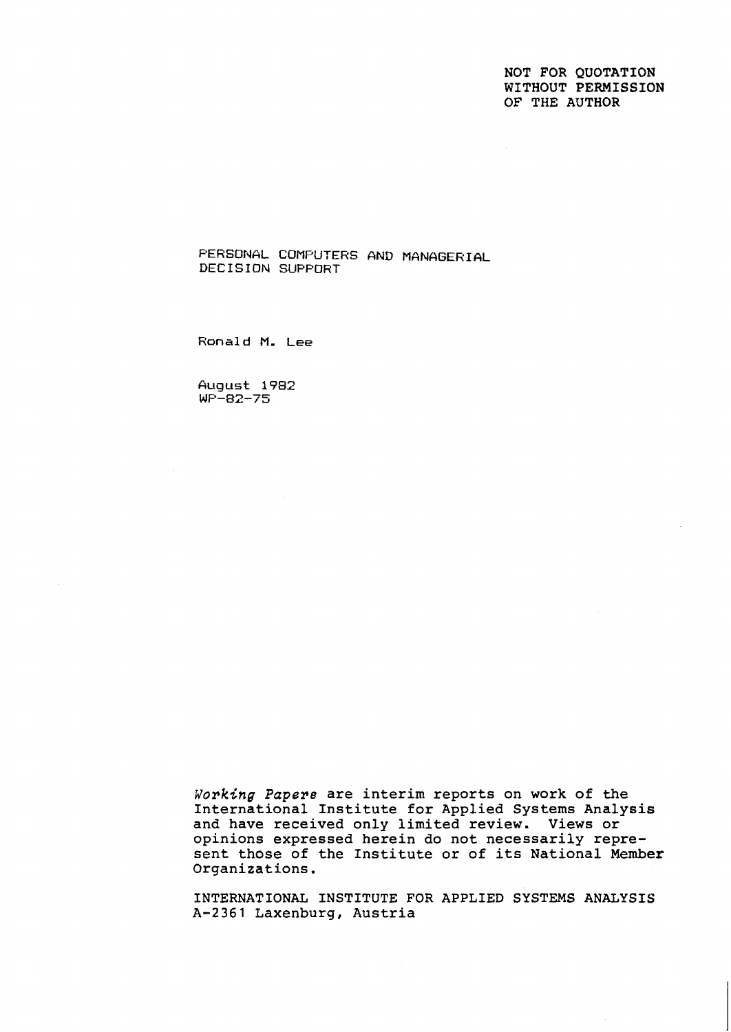NOT FOR QUOTATION WITHOUT PERMISSION OF THE AUTHOR

**PERSONAL COMPUTERS AND MGNAGERIAL DECISION SUPFORT** 

**Ronald M. Lee** 

**August 1982 WF-82-75** 

Working *Papers* are interim reports on work of the International Institute for Applied Systems Analysis and have received only limited review. Views or opinions expressed herein do not necessarily represent those of the Institute or of its National Member Organizations.

INTERNATIONAL INSTITUTE FOR APPLIED SYSTEMS ANALYSIS A-2361 Laxenburg, Austria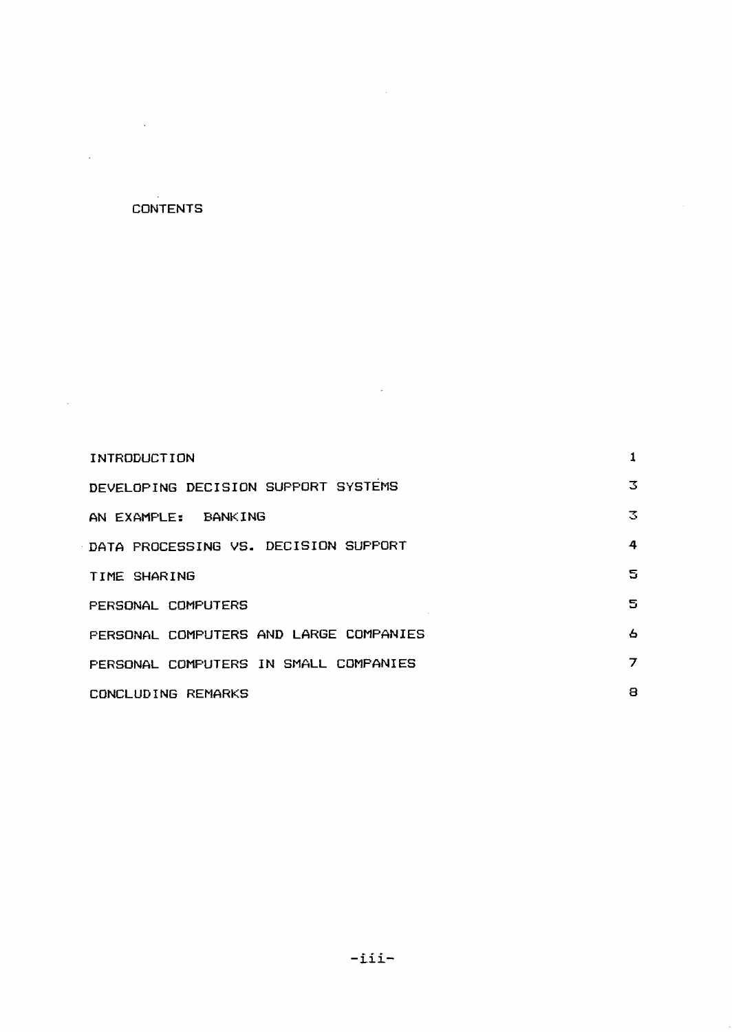# **CONTENTS**

 $\bar{a}$ 

 $\mathcal{L}_{\mathcal{A}}$ 

 $\sim 10^{-1}$ 

| INTRODUCTION                           |   |
|----------------------------------------|---|
| DEVELOPING DECISION SUPPORT SYSTEMS    | З |
| AN EXAMPLE: BANKING                    | 3 |
| DATA PROCESSING VS. DECISION SUPPORT   | 4 |
| TIME SHARING                           | S |
| PERSONAL COMPUTERS                     | 5 |
| PERSONAL COMPUTERS AND LARGE COMPANIES | 6 |
| PERSONAL COMPUTERS IN SMALL COMPANIES  | 7 |
| CONCLUDING REMARKS                     | 8 |

 $\bar{\mathcal{L}}$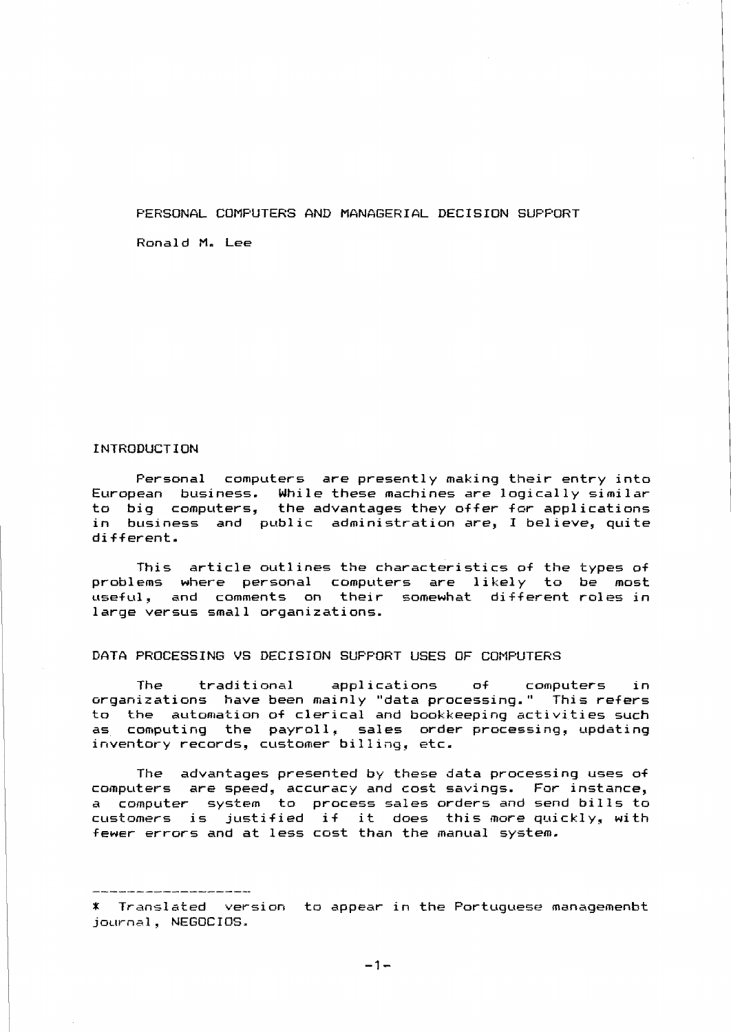# FERSONGL COMPUTERS **ANG** MGN&GERIGL DECISION SUFPORT

Ronald M. Lee

# INTRODUCTION

Fersonal computers are presently making their entry into European business. While these machines are logically similar to big computers, the advantages they offer for applications in business and public administration are, I believe, quite different.

This article outlines the characteristics of the types of problems where personal computers are likely to be most useful, and comments on their somewhat different roles in large versus small organizations.

# DATA PROCESSING VS DECISION SUFFORT USES OF COMPUTERS

The traditional applications of computers in organizations have been mainly "data processing." This refers to the automation of clerical and bookkeeping activities such as computing the payroll, sales order processing, updating inventory records, customer billing, etc.

The advantages presented by these data processing uses of computers are speed, accuracy and cost savings. For instance, a computer system ta process sales orders and send bills to a computer system to process safes orders and send bills to fewer errors and at less cost than the manual system.

 $-1-$ 

<sup>\*</sup> Translated version ta appear in the Portuguese managemenbt journal, NEGOCIOS.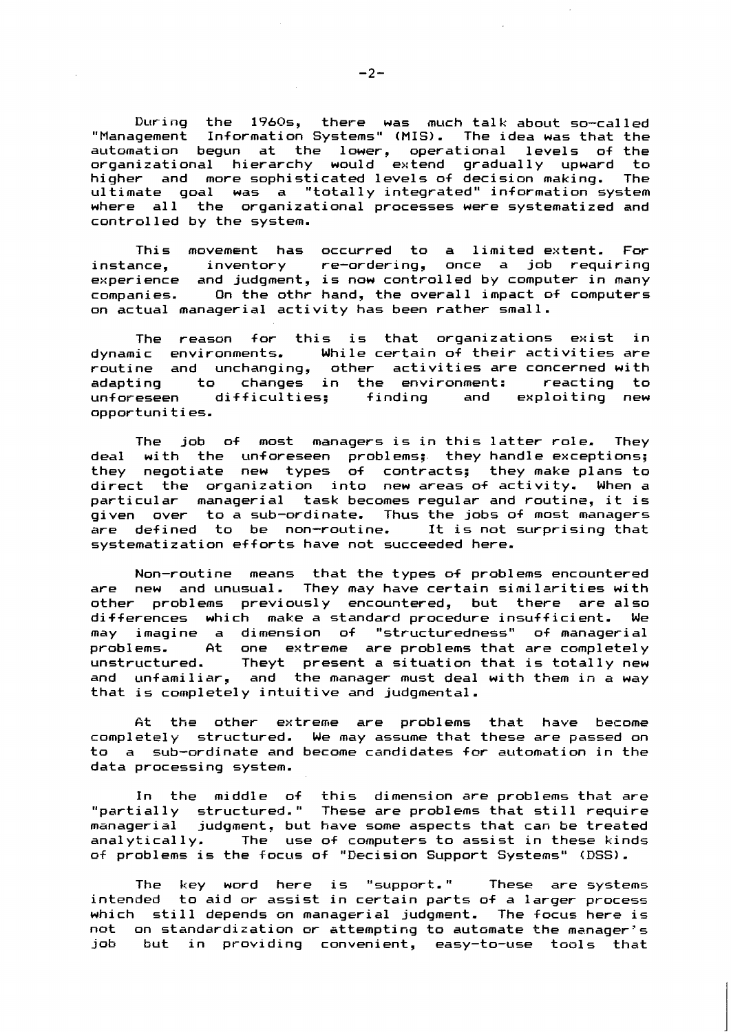During the 19A0s, there was much talk about so-called "Management Information Systems" (MIS). The idea was that the automation begun at the lower, operational levels of the organizational hierarchy would extend gradually upward to higher and more sophisticated levels of decision making. The ultimate goal was a "totally integrated" information system where all the organizational processes were systematized and control led by the system.

This movement has occurred to a limited extent. For instance, inventory re-ordering, once a job requiring experience and judgment, is now controlled by computer in many<br>companies. On the othr hand, the overall impact of computers On the othr hand, the overall impact of computers on actual managerial activity has been rather small.

The reason for this is that organizations exist in<br>dynamic environments. While-certain-of-their-activities-are While certain of their activities are routine and unchanging, other activities\_are\_concerned\_with<br>adapting to changes in the environment: reacting to adapting to changes in the environment:<br>unforeseen difficulties; finding and e exploiting new opportunities.

The job of most managers is in this latter role. They deal with the unforeseen problems;. they handle exceptions; they negotiate new types of contracts; they-make-plans-to-<br>direct the organization into new-areas-of-activity. When-a direct the organization into new areas of activity. particular managerial task becomes regular and routine, it is given over to a sub-ordinate. Thus the jobs of most managers are defined to be non-routine. It is not surprising that systematization efforts have not succeeded here.

Non-routine means that the types of problems encountered are new and unusual. They may have certain similarities with other problems previously encountered, but there are also differences which make a standard procedure insufficient. We may imagine a dimension of "structuredness" of manageri a1 problems. At one extreme are problems that are completely unstructured. Theyt present a situation that is totally new and unfamiliar, and the manager must deal with them in a way that is completely intuitive and judgmental.

At the other extreme are problems that have become completely structured. We may assume that these are passed on to a sub-ordinate and become candidates far automation in the data processing system.

In the middle of this dimension are problems that are "partially structured. " These are problems that still require managerial judqment, but have some aspects that can be treated analytically. The use of computers to assist in these kinds of problems is the focus of "Decision Support Systems" (DSS).

The key word here is "support." These are systems intended to aid or assist in certain parts of a larger process which still depends on managerial judqment. The focus here is nat on standardization or attempting to automate the manager' 5 job but in providing convenient, easy-to-use tools that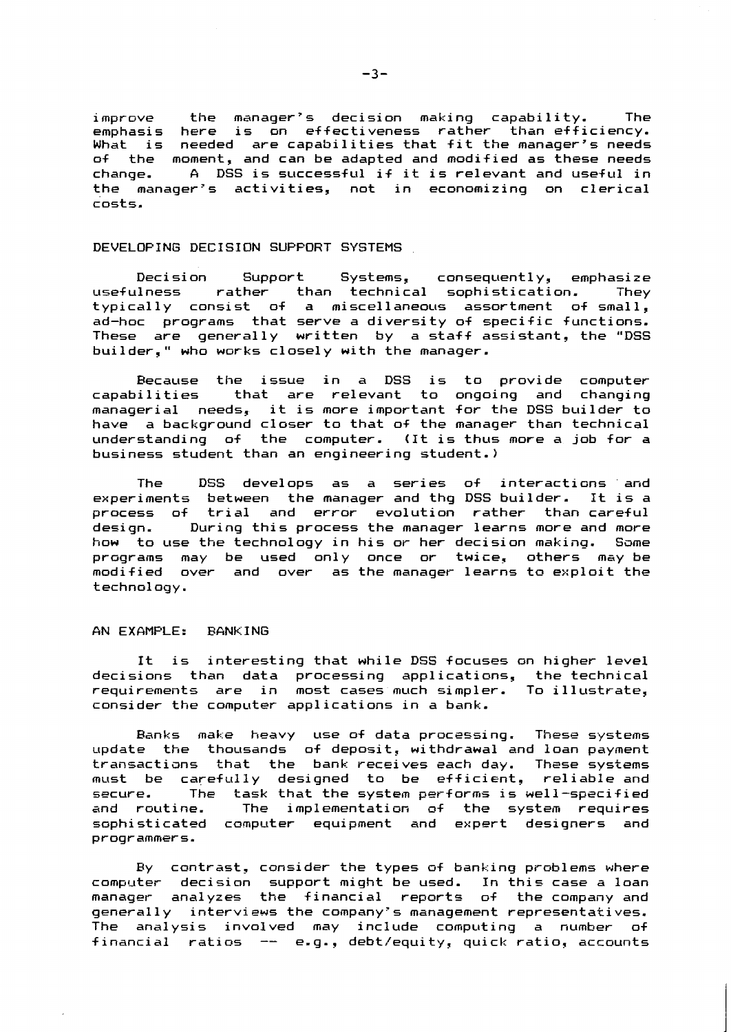**i mprove the manager's decision making capability. The emphasis here is on effectiveness rather than efficiency. What is needed are capabilities that fit the manager's needs of the moment, and can be adapted and modified as these needs**  change. A DSS is successful if it is relevant and useful in **the manager's activities, not in economizing on clerical costs.** 

### **DEVELOPING DECISION SUPPORT SYSTEMS**

**Deci si on Support Systems, consequently, emphasize**  than technical sophistication. **typically consist of a miscellaneous assortment of small, ad-hoc programs that serve a diversity of specific functions. These are generally written by a staff assistant, the "DSS builder," who works closely with the manager.** 

**Because the issue in a DSS is to provide computer**  that are relevant to ongoing and changing **managerial needs, it is more important for the DSS builder to have a background closer to that of the manager than technical understanding of the computer. (It is thus more a job for a business student than an engineering student.)** 

The DSS develops as a series of interactions and **experiments between the manager and thg DSS builder. It is a process of trial and error evolution rather than careful desi gn. During this process the manager learns more and more how to Llse the technology in his or her decision making. Same programs may be used only once or twice, others may be modified over and over as the manager learns t@ exploit the techno1 oyy.** 

### **AN EXGMPLE: EANKING**

It is interesting that while DSS focuses on higher level **decisions than data processing appl icatians, the technical requirements are in most cases much simpler. To illustrate, consider the computer applications in a bank.** 

Banks make heavy use of data processing. These systems **~~pdate the thousands of deposit, withdrawal and loan payment transactians that the bank receives each day. These systems must be carefully designed to be efficient, reliable and secure. The task that the system performs is well-specified and routine. The implementation af the system requires sophisticated camputer equipment and expert designers and programmers.** 

**By cantrast, consider the types a+ banking problems where computer decision support might be used. In this case a loan manager- analyzes the financial reports of the company and generally interviews the company's management representatives. The analysis involved may include computing a number of financial ratios** -- **e.g., debt/equity, quick ratio, accounts**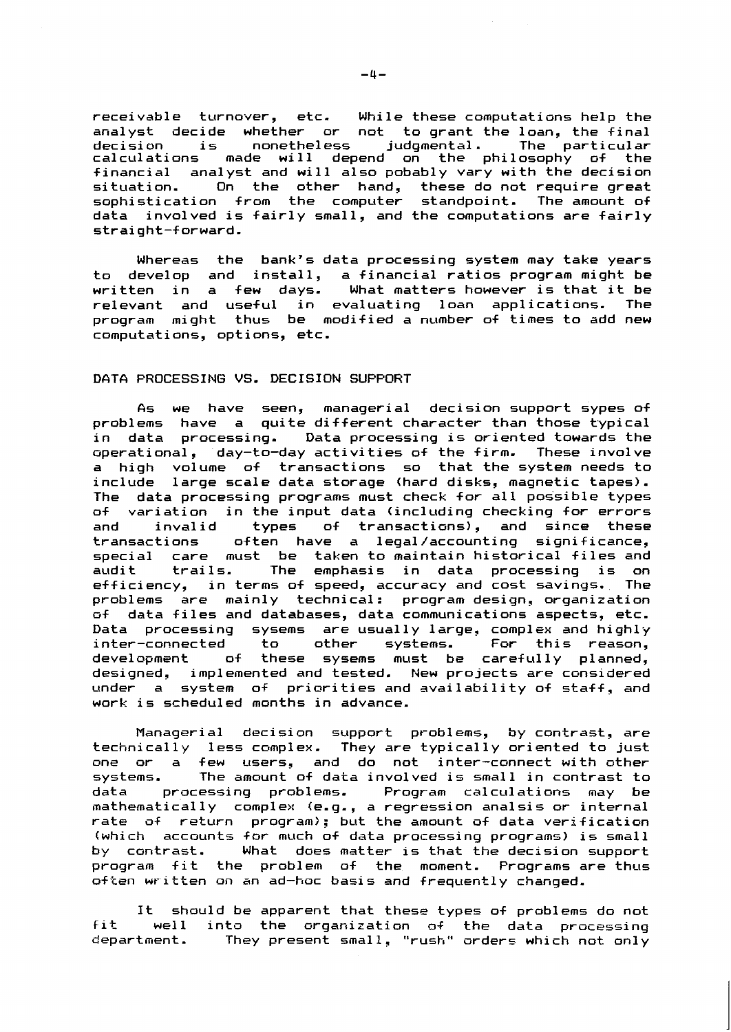receivable turnover, etc. While these computatians help the analyst decide whether or not to grant the loan, the final analyst declue whether or hot to grant the loan, the final<br>decision is nonetheless judgmental. The particular calculations made will depend on the philosophy of the financial analyst and will also pobably vary with the decision situation. On the other hand, these do not require great sophistication from the computer standpoint. The amount of data involved is fairly small, and the computations are fairly straight-f orward.

Whereas the bank's data processing system may take years to develop and install, a financial ratios program might be written in a few days. What matters however is that it be<br>relevant and useful in evaluating loan applications. The relevant and useful in evaluating loan applications. program might thus be modified a number of times to add new computations, options, etc.

# DATA PROCESSING VS. DECISION SUPFORT

As we have seen, managerial decision support sypes of problems have a quite different character than those typical in data processing. Data processing is oriented towards the operational, day-to-day activities of the firm. These involve a high volume of transactions so that the system needs to include 1 arge scale data storage (hard disks, magnetic tapes). The data processing programs must check for all possible types<br>of variation in the input data (including checking for errors of variation in the input data (including checking for errors<br>and invalid types of transactions), and since these and invalid types of transactions), and since these  $offen$  have a legal/accounting significance, special care must be taken to maintain historical files and special care must be taken to maintain nistorital lifes and<br>audit trails. The emphasis in data processing is on efficiency, in terms of speed, accuracy and cost savings. The efficiency, in terms of speed, accuracy and cost savings. The<br>problems are mainly technical: program design, organization f data files and databases, data communications aspects, etc. Data processing sysems are usually large, complex and highly i nter-connected to other systems. For this reason, inter-connected to other systems. For this reason,<br>development of these sysems must be carefully planned, designed, implemented and tested. New projects are considered under a system of priorities and availability of staff, and work is scheduled months in advance.

Managerial decision support problems, by contrast, are technically less complex. They are typically oriented to just<br>one or a few users, and do not inter-connect with other few users, and do not inter-connect with other systems. The amount of data involved is small in contrast to<br>data processing problems. Program calculations may be Program calculations may be mathematically complex (e.g., a regression analsis or internal rate of return program); but the amount of data verification (which accounts for much of data processing programs) is small by contrast. What does matter is that the decision support What does matter is that the decision support program fit the problem of the moment. Programs are thus often written on an ad-hoc basis and frequently changed.

It should be apparent that these types of problems do not fit well into the organization of the data processing department. They present small, "rush" orders which not only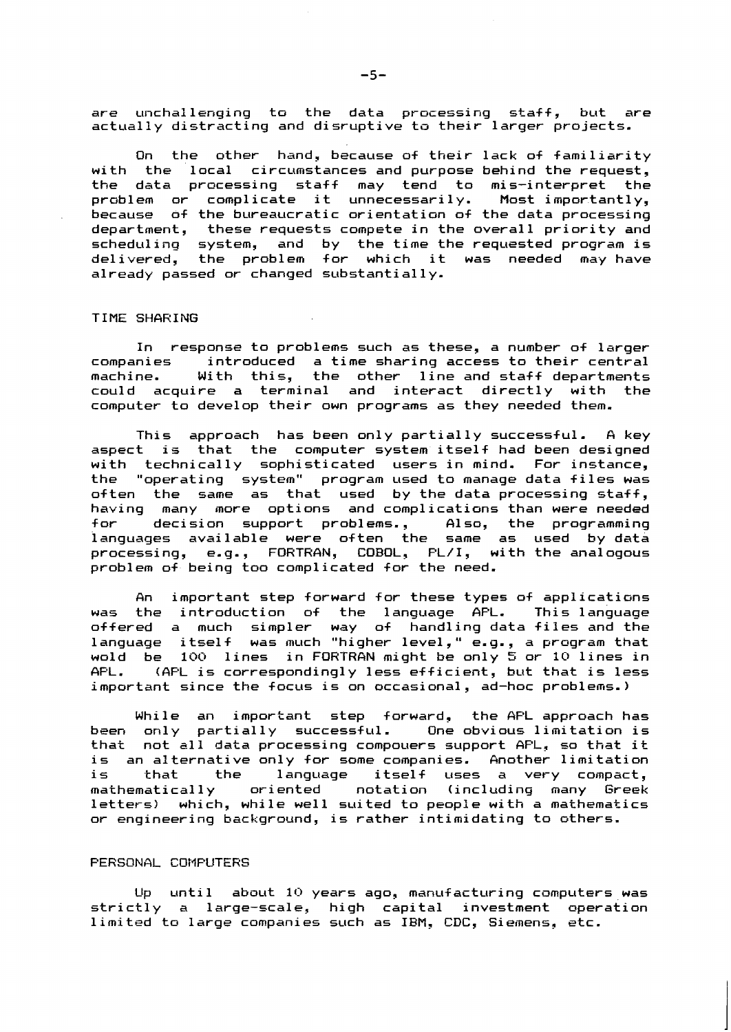are unchallenging to the data processing staff, but are **actual1 y distracting and disruptive ta their larger projects.** 

**On the other hand, because of their lack of familiarity with the local circumstances and purpose behind the request, the data pracessing staff may tend to mis-interpret the pr~blem or complicate it unnecessarily. Most importantly, because of the bureaucratic orientation of the data processing department, these requests compete in the overall priority and scheduling system, and by the time the requested program is delivered, the problem for which it was needed may have a1 ready passed or changed substanti a1 1 y.** 

#### **TIME SHARING**

**In response to problems such as these, a number of larger companies introduced a time sharing access to their central machine. With this, the other line and staff departments could acquire a terminal and interact directly with the computer to develop their own programs as they needed them.** 

This approach has been only partially successful. A key **aspect is that the computer system itself had been designed**  with technically sophisticated users in mind. For instance, **the "operating system" program used to manage data files was often the same as that used by the data processing staff, having many more options and complications than were needed for decision support problems., A1 so, the programming**  languages available were often the same as used by-data<br>processing, e.g., FORTRAN, COBOL, PL/I, with-the-analogous **problem of being too complicated for the need.** 

An important step forward for these types of applications **was the introduction of the language AFL. This language**  offered a much simpler way of handling data\_files\_and\_the **language itself was much "higher level," e.g., a pragram that wold be 100 lines in FORTRAN might be only 5 or 10 lines in APL. (APL is correspondingly less efficient, but that is less important since the focus is on occasional, ad-hoc problems.** )

**While an important step forward, the AFL approach has been only partially successful. One obvious 1 imitation is that not sll data processing compouers support AFL, so that it**  is an alternative only for some companies. Another limitation is that the language itself uses a very compact, mathematically oriented notation (including many Greek **letters) which, while well suited to people with a mathematics or engineering background, is rather intimidating to others.** 

#### **PERSONAL CDMFUTERS**

Up **until** about 10 years ago, manufacturing computers was **strict1 y a large-scale, high capital investment aperation limited ta large companies such as IFM, CDC, Siemens, etc.**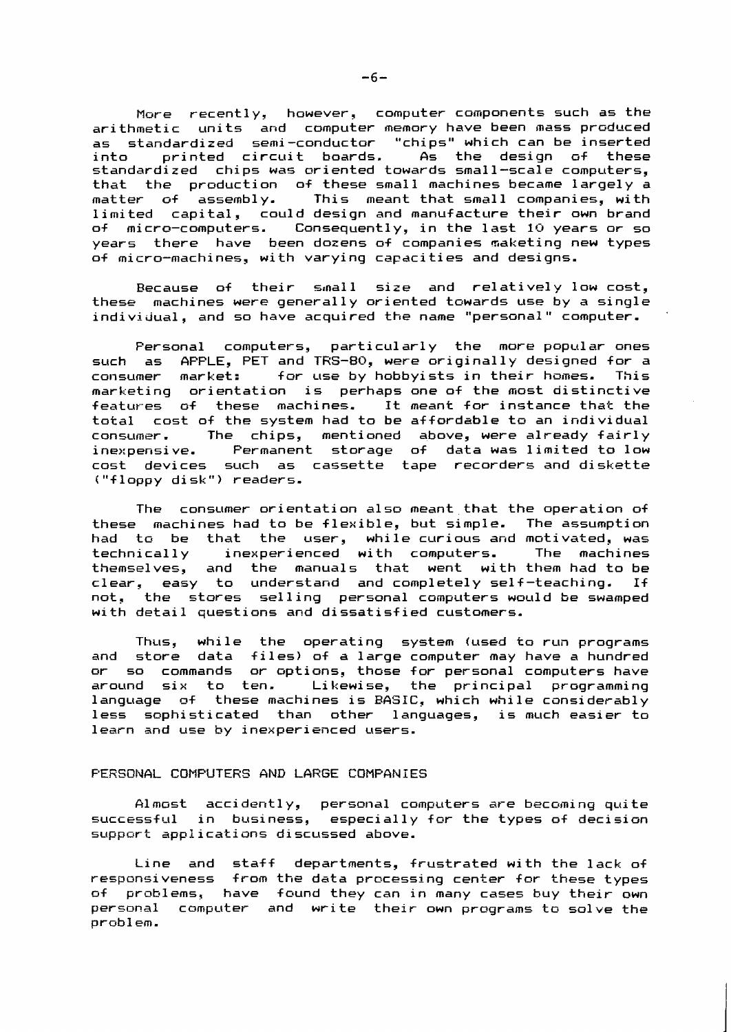More recently, however, computer components such as the arithmetic units and computer memory have been mass produced as standardized semi-conductor "chips" which can be inserted into printed circuit boards. As the design of these standardized chips was oriented towards small-scale computers, that the production of these small machines became largely a matter of assembly. This meant that small companies, with limited capital, could design and manufacture their own brand<br>of micro-computers. Consequently, in the last 10 years or so of micre-computers. Consequently, in the last **10** years or so years there have been dozens of companies naketing new types of micro-machines, with varying capacities and designs.

Because of their small size and relatively low cost, these machines were generally oriented towards use by a single individual, and so have acquired the name "personal " computer.

Personal computers, particularly the more popular ones such as APPLE, PET and TRS-80, were originally designed for a<br>consumer market: for use by hobbyists in their homes. This for use by hobbyists in their homes. marketing orientation is perhaps one of the most distinctive features of these machines. It meant for instance that the total cost of the system had to be affordable to an individual<br>consumer. The chips, mentioned above, were already fairly consumer. The chips, mentioned above, were already fairly<br>inexpensive. Permanent storage of data-was-limited to low cost devices such as cassette tape recorders and diskette ("floppy disk") readers.

The consumer orientation also meant that the operation of these machines had to be flexible, but simple. The assumption had to be that the user, while-curious-and-motivated, was<br>technically - inexperienced with computers. The machines technically inexperienced with computers. themselves, and the manuals that went with them had to be clear, easy to understand and completely self-teaching. If not, the stores selling personal computers would be swamped with detail questions and dissatisfied customers.

Thus, while the operating system (used to run programs and store data files) of a large computer may have a hundred or so commands or options, those for personal computers have<br>around six to ten. Likewise, the principal programming Likewise, the principal programming language of these machines is BASIC, which while considerably less sophisticated than other languages, is much easier to learn and use by inexperienced users.

#### FERSGNAL COMFUTERS **ANE** LARGE COMPANIES

Almost accidently, personal computers are becoming quite successful in business, especially for the types of decision suppart applications discussed above.

Line and staff departments, frustrated with the lack of responsiveness from the data processing center for these types of problems, have found they can in many cases buy their own personal camputer and write their own programs to solve the problem.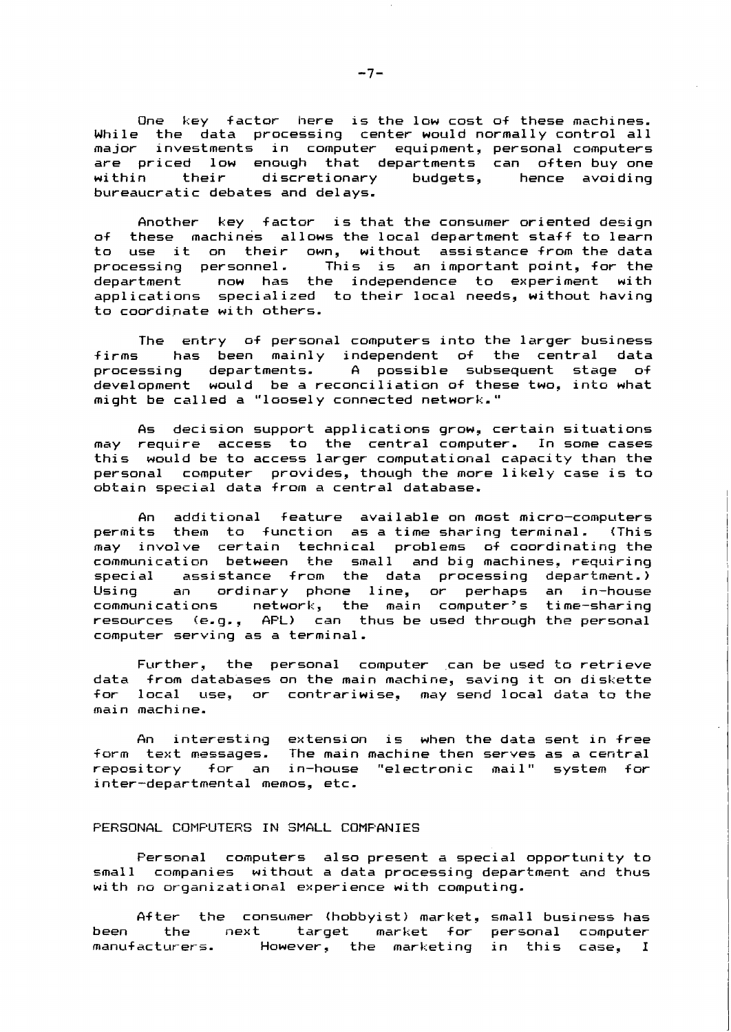One key factor here is the low cost o+ these machines. While the data processing center would normally control all major investments in computer equipment, personal computers are priced low enough that departments can often-buy-one<br>within their discretionary budgets, hence avoiding budgets, hence avoiding bureaucratic debates and delays.

Another key factor is that the consumer oriented design of these machines allows the local department staff to learn to use it on their own, without assistance-from-the-data<br>processing personnel. This is an-important-point, for-the processing personnel. This is an important-point, for the<br>department - now has the independence to experiment with now has the independence to experiment with applications specialized to their local needs, without having to coordinate with others.

The entry of personal computers into the larger business<br>firms has been mainly independent of the central data has been mainly independent of the central data processing departments. A possible subsequent stage of development would be a reconciliation of these two, into what might be called a "loosely connected network."

As decision support applications grow, certain situations may require access to the central computer. In some cases this would be to access larger computational capacity than the personal computer provides, though the more likely case is to obtain special data from a central database.

An additional feature available on most micro-computers permits them to +unction as a time sharing terminal. (This may invoive certain technical problems of coordinating the communication between the small and-big-machines, requiring<br>special - assistance from the data processing department.) assistance from the data processing department.) Using an ordinary phene line, or perhaps an in-house communications network, the main computer's time-sharing resources fe.g., AFL) can thus be used through the personal computer serving as a terminal.

Further, the personal computer can be used to retrieve data from databases on the main machine, saving it on diskette local use, or contrariwise, may send local data to the main marhi ne.

An interesting extension is when the data sent in +ree iorm text messages. The main machine then serves as a central repository for an in-house "electronic mail" system for inter-departmental memos, etc.

### PERSONAL COMPUTERS IN SMALL COMFANIES

Personal computers also present a special opportunity to small companies without a data processing department and thus with no organizational experience with computing.

After the consumer (hobbyist) market, small business has<br>the next target market for personal computer been the next target market for personal camputer manufacturers. Hawever, the marketing in this case, I